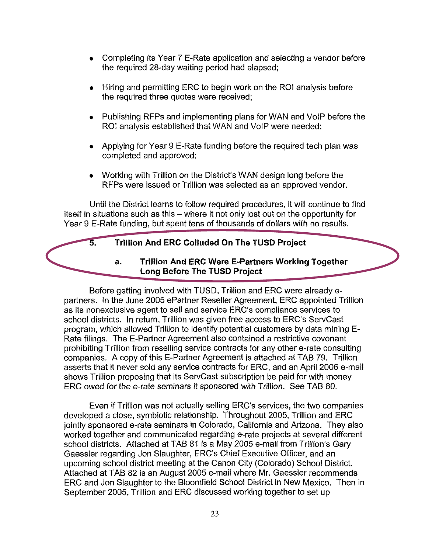- Completing its Year 7 E-Rate application and selecting a vendor before the required 28-day waiting period had elapsed;
- Hiring and permitting ERC to begin work on the ROI analysis before the required three quotes were received;
- Publishing RFPs and implementing plans for WAN and VolP before the ROI analysis established that WAN and VolP were needed;
- Applying for Year 9 E-Rate funding before the required tech plan was completed and approved;
- Working with Trillion on the District's WAN design long before the RFPs were issued or Trillion was selected as an approved vendor.

Until the District learns to follow required procedures, it will continue to find itself in situations such as this - where it not only lost out on the opportunity for Year 9 E-Rate funding, but spent tens of thousands of dollars with no results.

## **5. Trillion And ERC Colluded On The TUSD Project**

**a. Trillion And ERC Were E-Partners Working Together Long Before The TUSD Project** 

Before getting involved with TUSD, Trillion and ERC were already epartners. In the June 2005 ePartner Reseller Agreement, ERC appointed Trillion as its nonexclusive agent to sell and service ERC's compliance services to school districts. In return, Trillion was given free access to ERC's ServCast program, which allowed Trillion to identify potential customers by data mining E-Rate filings. The E-Partner Agreement also contained a restrictive covenant prohibiting Trillion from reselling service contracts for any other e-rate consulting companies. A copy of this E-Partner Agreement is attached at TAB 79. Trillion asserts that it never sold any service contracts for ERC, and an April 2006 e-mail shows Trillion proposing that its ServCast subscription be paid for with money ERC owed for the e-rate seminars it sponsored with Trillion. See TAB 80.

Even if Trillion was not actually selling ERC's services, the two companies developed a close, symbiotic relationship. Throughout 2005, Trillion and ERC jointly sponsored e-rate seminars in Colorado, California and Arizona. They also worked together and communicated regarding e-rate projects at several different school districts. Attached at TAB 81 is a May 2005 e-mail from Trillion's Gary Gaessler regarding Jon Slaughter, ERC's Chief Executive Officer, and an upcoming school district meeting at the Canon City (Colorado) School District. Attached at TAB 82 is an August 2005 e-mail where Mr. Gaessler recommends ERC and Jon Slaughter to the Bloomfield School District in New Mexico. Then in September 2005, Trillion and ERC discussed working together to set up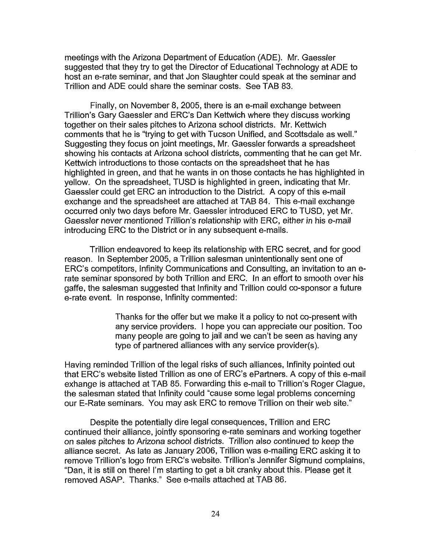meetings with the Arizona Department of Education (ADE). Mr. Gaessler suggested that they try to get the Director of Educational Technology at ADE to host an e-rate seminar, and that Jon Slaughter could speak at the seminar and Trillion and ADE could share the seminar costs. See TAB 83.

Finally, on November 8,2005, there is an e-mail exchange between Trillion's Gary Gaessler and ERC's Dan Kettwich where they discuss working together on their sales pitches to Arizona school districts. Mr. Kettwich comments that he is "trying to get with Tucson Unified, and Scottsdale as well." Suggesting they focus on joint meetings, Mr. Gaessler forwards a spreadsheet showing his contacts at Arizona school districts, commenting that he can get Mr. Kettwich introductions to those contacts on the spreadsheet that he has highlighted in green, and that he wants in on those contacts he has highlighted in yellow. On the spreadsheet, TUSD is highlighted in green, indicating that Mr. Gaessler could get ERC an introduction to the District. A copy of this e-mail exchange and the spreadsheet are attached at TAB 84. This e-mail exchange occurred only two days before Mr. Gaessler introduced ERC to TUSD, yet Mr. Gaessler never mentioned Trillion's relationship with ERC, either in his e-mail introducing ERC to the District or in any subsequent e-mails.

Trillion endeavored to keep its relationship with ERC secret, and for good reason. In September 2005, a Trillion salesman unintentionally sent one of ERC's competitors, Infinity Communications and Consulting, an invitation to an erate seminar sponsored by both Trillion and ERC. In an effort to smooth over his gaffe, the salesman suggested that Infinity and Trillion could co-sponsor a future e-rate event. In response, Infinity commented:

> Thanks for the offer but we make it a policy to not co-present with any service providers. I hope you can appreciate our position. Too many people are going to jail and we can't be seen as having any type of partnered alliances with any service provider(s).

Having reminded Trillion of the legal risks of such alliances, Infinity pointed out that ERC's website listed Trillion as one of ERC's ePartners. A copy of this e-mail exhange is attached at TAB 85. Forwarding this e-mail to Trillion's Roger Clague, the salesman stated that Infinity could "cause some legal problems concerning our E-Rate seminars. You may ask ERC to remove Trillion on their web site."

Despite the potentially dire legal consequences, Trillion and ERC continued their alliance, jointly sponsoring e-rate seminars and working together on sales pitches *to* Arizona school districts. Trillion also continued to keep the alliance secret. As late as January 2006, Trillion was e-mailing ERC asking it to remove Trillion's logo from ERC's website. Trillion's Jennifer Sigmund complains, "Dan, it is still on there! I'm starting to get a bit cranky about this. Please get it removed ASAP. Thanks." See e-mails attached at TAB 86.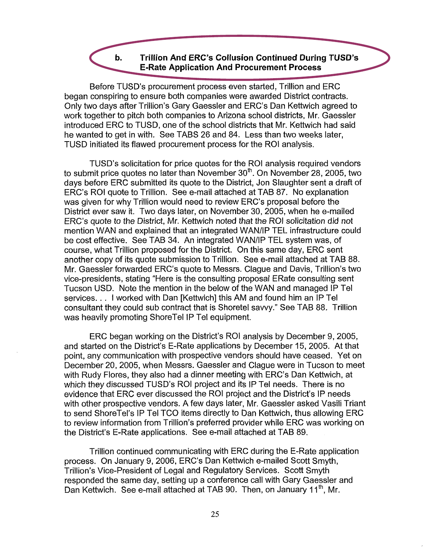## **b. Trillion And ERC's Collusion Continued During TUSD's E-Rate Application And Procurement Process**

Before TUSD's procurement process even started, Trillion and ERC began conspiring to ensure both companies were awarded District contracts. Only two days after Trillion's Gary Gaessler and ERC's Dan Kettwich agreed to work together to pitch both companies to Arizona school districts, Mr. Gaessler introduced ERC to TUSD, one of the school districts that Mr. Kettwich had said he wanted to get in with. See TABS 26 and 84. Less than two weeks later, TUSD initiated its flawed procurement process for the ROI analysis.

TUSD's solicitation for price quotes for the ROI analysis required vendors to submit price quotes no later than November  $30<sup>th</sup>$ . On November 28, 2005, two days before ERC submitted its quote to the District, Jon Slaughter sent a draft of ERC's ROI quote to Trillion. See e-mail attached at TAB 87. No explanation was given for why Trillion would need to review ERC's proposal before the District ever saw it. Two days later, on November 30, 2005, when he e-mailed ERC's quote to the District, Mr. Kettwich noted that the ROI solicitation did not mention WAN and explained that an integrated WAN/IP TEL infrastructure could be cost effective. See TAB 34. An integrated WAN/IP TEL system was, of course, what Trillion proposed for the District. On this same day, ERC sent another copy of its quote submission to Trillion. See e-mail attached at TAB 88. Mr. Gaessler forwarded ERC's quote to Messrs. Clague and Davis, Trillion's two vice-presidents, stating "Here is the consulting proposal ERate consulting sent Tucson USD. Note the mention in the below of the WAN and managed IP Tel services. . . I worked with Dan [Kettwich] this AM and found him an IP Tel consultant they could sub contract that is Shoretel savvy." See TAB 88. Trillion was heavily promoting ShoreTel IP Tel equipment.

ERC began working on the District's ROI analysis by December 9, 2005, and started on the District's E-Rate applications by December 15, 2005. At that point, any communication with prospective vendors should have ceased. Yet on December 20,2005, when Messrs. Gaessler and Clague were in Tucson to meet with Rudy Flores, they also had a dinner meeting with ERC's Dan Kettwich, at which they discussed TUSD's ROI project and its IP Tel needs. There is no evidence that ERC ever discussed the ROI project and the District's IP needs with other prospective vendors. A few days later, Mr. Gaessler asked Vasili Triant to send ShoreTel's IP Tel TCO items directly to Dan Kettwich, thus allowing ERC to review information from Trillion's preferred provider while ERC was working on the District's E-Rate applications. See e-mail attached at TAB 89.

Trillion continued communicating with ERC during the E-Rate application process. On January 9, 2006, ERC's Dan Kettwich e-mailed Scott Smyth, Trillion's Vice-president of Legal and Regulatory Services. Scott Smyth responded the same day, setting up a conference call with Gary Gaessler and Dan Kettwich. See e-mail attached at TAB 90. Then, on January 11<sup>th</sup>, Mr.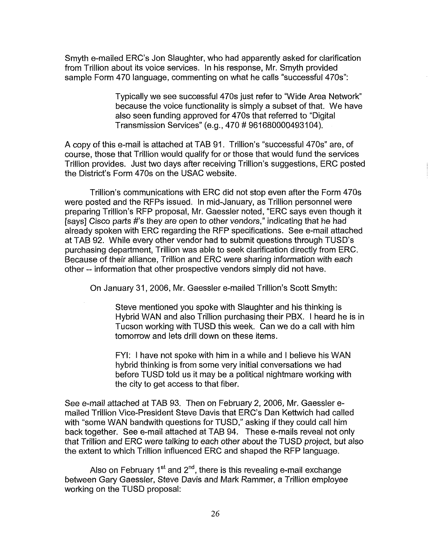Smyth e-mailed ERC's Jon Slaughter, who had apparently asked for clarification from Trillion about its voice services. In his response, Mr. Smyth provided sample Form 470 language, commenting on what he calls "successful 470s":

> Typically we see successful 470s just refer to "Wide Area Network because the voice functionality is simply a subset of that. We have also seen funding approved for 470s that referred to "Digital Transmission Services" (e.g., 470 # 961680000493104).

A copy of this e-mail is attached at TAB 91. Trillion's "successful 470s" are, of course, those that Trillion would qualify for or those that would fund the services Trillion provides. Just two days after receiving Trillion's suggestions, ERC posted the District's Form 470s on the USAC website.

Trillion's communications with ERC did not stop even after the Form 470s were posted and the RFPs issued. In mid-January, as Trillion personnel were preparing Trillion's RFP proposal, Mr. Gaessler noted, "ERC says even though it [says] Cisco parts #'s they are open to other vendors," indicating that he had already spoken with ERC regarding the RFP specifications. See e-mail attached at TAB 92. While every other vendor had to submit questions through TUSD's purchasing department, Trillion was able to seek clarification directly from ERC. Because of their alliance, Trillion and ERC were sharing information with each other -- information that other prospective vendors simply did not have.

On January 31, 2006, Mr. Gaessler e-mailed Trillion's Scott Smyth:

Steve mentioned you spoke with Slaughter and his thinking is Hybrid WAN and also Trillion purchasing their PBX. I heard he is in Tucson working with TUSD this week. Can we do a call with him tomorrow and lets drill down on these items.

FYI: I have not spoke with him in a while and I believe his WAN hybrid thinking is from some very initial conversations we had before TUSD told us it may be a political nightmare working with the city to get access to that fiber.

See e-mail attached at TAB 93. Then on February 2,2006, Mr. Gaessler emailed Trillion Vice-President Steve Davis that ERC's Dan Kettwich had called with "some WAN bandwith questions for TUSD," asking if they could call him back together. See e-mail attached at TAB 94. These e-mails reveal not only that Trillion and ERC were talking to each other about the TUSD project, but also the extent to which Trillion influenced ERC and shaped the RFP language.

Also on February  $1<sup>st</sup>$  and  $2<sup>nd</sup>$ , there is this revealing e-mail exchange between Gary Gaessler, Steve Davis and Mark Rammer, a Trillion employee working on the TUSD proposal: